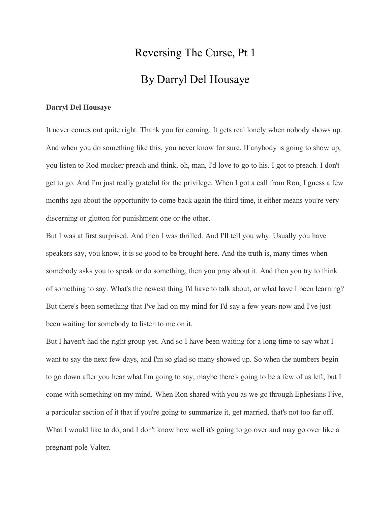# Reversing The Curse, Pt 1 By Darryl Del Housaye

## **Darryl Del Housaye**

It never comes out quite right. Thank you for coming. It gets real lonely when nobody shows up. And when you do something like this, you never know for sure. If anybody is going to show up, you listen to Rod mocker preach and think, oh, man, I'd love to go to his. I got to preach. I don't get to go. And I'm just really grateful for the privilege. When I got a call from Ron, I guess a few months ago about the opportunity to come back again the third time, it either means you're very discerning or glutton for punishment one or the other.

But I was at first surprised. And then I was thrilled. And I'll tell you why. Usually you have speakers say, you know, it is so good to be brought here. And the truth is, many times when somebody asks you to speak or do something, then you pray about it. And then you try to think of something to say. What's the newest thing I'd have to talk about, or what have I been learning? But there's been something that I've had on my mind for I'd say a few years now and I've just been waiting for somebody to listen to me on it.

But I haven't had the right group yet. And so I have been waiting for a long time to say what I want to say the next few days, and I'm so glad so many showed up. So when the numbers begin to go down after you hear what I'm going to say, maybe there's going to be a few of us left, but I come with something on my mind. When Ron shared with you as we go through Ephesians Five, a particular section of it that if you're going to summarize it, get married, that's not too far off. What I would like to do, and I don't know how well it's going to go over and may go over like a pregnant pole Valter.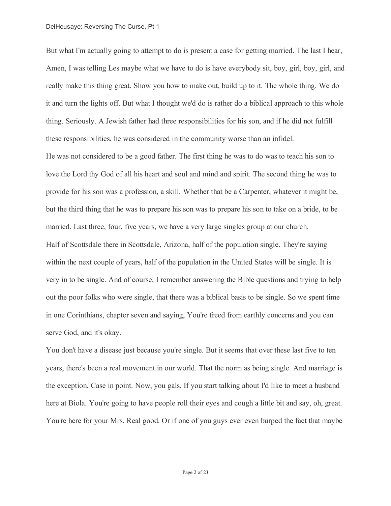### DelHousaye: Reversing The Curse, Pt 1

But what I'm actually going to attempt to do is present a case for getting married. The last I hear, Amen, I was telling Les maybe what we have to do is have everybody sit, boy, girl, boy, girl, and really make this thing great. Show you how to make out, build up to it. The whole thing. We do it and turn the lights off. But what I thought we'd do is rather do a biblical approach to this whole thing. Seriously. A Jewish father had three responsibilities for his son, and if he did not fulfill these responsibilities, he was considered in the community worse than an infidel.

He was not considered to be a good father. The first thing he was to do was to teach his son to love the Lord thy God of all his heart and soul and mind and spirit. The second thing he was to provide for his son was a profession, a skill. Whether that be a Carpenter, whatever it might be, but the third thing that he was to prepare his son was to prepare his son to take on a bride, to be married. Last three, four, five years, we have a very large singles group at our church. Half of Scottsdale there in Scottsdale, Arizona, half of the population single. They're saying within the next couple of years, half of the population in the United States will be single. It is very in to be single. And of course, I remember answering the Bible questions and trying to help out the poor folks who were single, that there was a biblical basis to be single. So we spent time in one Corinthians, chapter seven and saying, You're freed from earthly concerns and you can serve God, and it's okay.

You don't have a disease just because you're single. But it seems that over these last five to ten years, there's been a real movement in our world. That the norm as being single. And marriage is the exception. Case in point. Now, you gals. If you start talking about I'd like to meet a husband here at Biola. You're going to have people roll their eyes and cough a little bit and say, oh, great. You're here for your Mrs. Real good. Or if one of you guys ever even burped the fact that maybe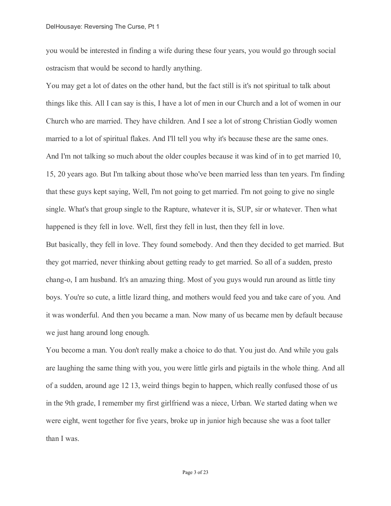you would be interested in finding a wife during these four years, you would go through social ostracism that would be second to hardly anything.

You may get a lot of dates on the other hand, but the fact still is it's not spiritual to talk about things like this. All I can say is this, I have a lot of men in our Church and a lot of women in our Church who are married. They have children. And I see a lot of strong Christian Godly women married to a lot of spiritual flakes. And I'll tell you why it's because these are the same ones. And I'm not talking so much about the older couples because it was kind of in to get married 10, 15, 20 years ago. But I'm talking about those who've been married less than ten years. I'm finding that these guys kept saying, Well, I'm not going to get married. I'm not going to give no single single. What's that group single to the Rapture, whatever it is, SUP, sir or whatever. Then what happened is they fell in love. Well, first they fell in lust, then they fell in love.

But basically, they fell in love. They found somebody. And then they decided to get married. But they got married, never thinking about getting ready to get married. So all of a sudden, presto chang-o, I am husband. It's an amazing thing. Most of you guys would run around as little tiny boys. You're so cute, a little lizard thing, and mothers would feed you and take care of you. And it was wonderful. And then you became a man. Now many of us became men by default because we just hang around long enough.

You become a man. You don't really make a choice to do that. You just do. And while you gals are laughing the same thing with you, you were little girls and pigtails in the whole thing. And all of a sudden, around age 12 13, weird things begin to happen, which really confused those of us in the 9th grade, I remember my first girlfriend was a niece, Urban. We started dating when we were eight, went together for five years, broke up in junior high because she was a foot taller than I was.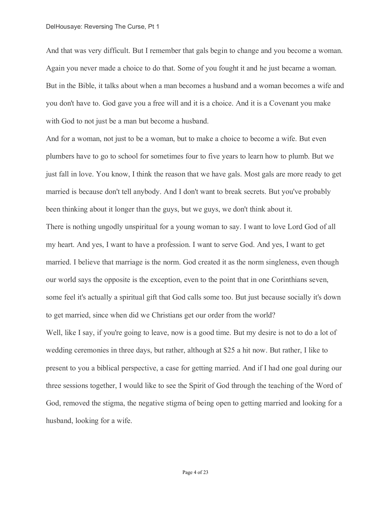And that was very difficult. But I remember that gals begin to change and you become a woman. Again you never made a choice to do that. Some of you fought it and he just became a woman. But in the Bible, it talks about when a man becomes a husband and a woman becomes a wife and you don't have to. God gave you a free will and it is a choice. And it is a Covenant you make with God to not just be a man but become a husband.

And for a woman, not just to be a woman, but to make a choice to become a wife. But even plumbers have to go to school for sometimes four to five years to learn how to plumb. But we just fall in love. You know, I think the reason that we have gals. Most gals are more ready to get married is because don't tell anybody. And I don't want to break secrets. But you've probably been thinking about it longer than the guys, but we guys, we don't think about it. There is nothing ungodly unspiritual for a young woman to say. I want to love Lord God of all my heart. And yes, I want to have a profession. I want to serve God. And yes, I want to get married. I believe that marriage is the norm. God created it as the norm singleness, even though our world says the opposite is the exception, even to the point that in one Corinthians seven, some feel it's actually a spiritual gift that God calls some too. But just because socially it's down to get married, since when did we Christians get our order from the world? Well, like I say, if you're going to leave, now is a good time. But my desire is not to do a lot of wedding ceremonies in three days, but rather, although at \$25 a hit now. But rather, I like to present to you a biblical perspective, a case for getting married. And if I had one goal during our three sessions together, I would like to see the Spirit of God through the teaching of the Word of God, removed the stigma, the negative stigma of being open to getting married and looking for a husband, looking for a wife.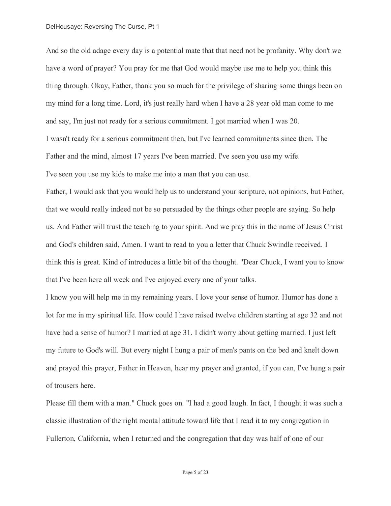### DelHousaye: Reversing The Curse, Pt 1

And so the old adage every day is a potential mate that that need not be profanity. Why don't we have a word of prayer? You pray for me that God would maybe use me to help you think this thing through. Okay, Father, thank you so much for the privilege of sharing some things been on my mind for a long time. Lord, it's just really hard when I have a 28 year old man come to me and say, I'm just not ready for a serious commitment. I got married when I was 20. I wasn't ready for a serious commitment then, but I've learned commitments since then. The Father and the mind, almost 17 years I've been married. I've seen you use my wife. I've seen you use my kids to make me into a man that you can use.

Father, I would ask that you would help us to understand your scripture, not opinions, but Father, that we would really indeed not be so persuaded by the things other people are saying. So help us. And Father will trust the teaching to your spirit. And we pray this in the name of Jesus Christ and God's children said, Amen. I want to read to you a letter that Chuck Swindle received. I think this is great. Kind of introduces a little bit of the thought. "Dear Chuck, I want you to know that I've been here all week and I've enjoyed every one of your talks.

I know you will help me in my remaining years. I love your sense of humor. Humor has done a lot for me in my spiritual life. How could I have raised twelve children starting at age 32 and not have had a sense of humor? I married at age 31. I didn't worry about getting married. I just left my future to God's will. But every night I hung a pair of men's pants on the bed and knelt down and prayed this prayer, Father in Heaven, hear my prayer and granted, if you can, I've hung a pair of trousers here.

Please fill them with a man." Chuck goes on. "I had a good laugh. In fact, I thought it was such a classic illustration of the right mental attitude toward life that I read it to my congregation in Fullerton, California, when I returned and the congregation that day was half of one of our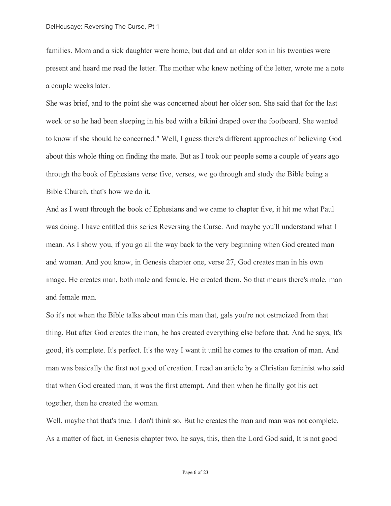families. Mom and a sick daughter were home, but dad and an older son in his twenties were present and heard me read the letter. The mother who knew nothing of the letter, wrote me a note a couple weeks later.

She was brief, and to the point she was concerned about her older son. She said that for the last week or so he had been sleeping in his bed with a bikini draped over the footboard. She wanted to know if she should be concerned." Well, I guess there's different approaches of believing God about this whole thing on finding the mate. But as I took our people some a couple of years ago through the book of Ephesians verse five, verses, we go through and study the Bible being a Bible Church, that's how we do it.

And as I went through the book of Ephesians and we came to chapter five, it hit me what Paul was doing. I have entitled this series Reversing the Curse. And maybe you'll understand what I mean. As I show you, if you go all the way back to the very beginning when God created man and woman. And you know, in Genesis chapter one, verse 27, God creates man in his own image. He creates man, both male and female. He created them. So that means there's male, man and female man.

So it's not when the Bible talks about man this man that, gals you're not ostracized from that thing. But after God creates the man, he has created everything else before that. And he says, It's good, it's complete. It's perfect. It's the way I want it until he comes to the creation of man. And man was basically the first not good of creation. I read an article by a Christian feminist who said that when God created man, it was the first attempt. And then when he finally got his act together, then he created the woman.

Well, maybe that that's true. I don't think so. But he creates the man and man was not complete. As a matter of fact, in Genesis chapter two, he says, this, then the Lord God said, It is not good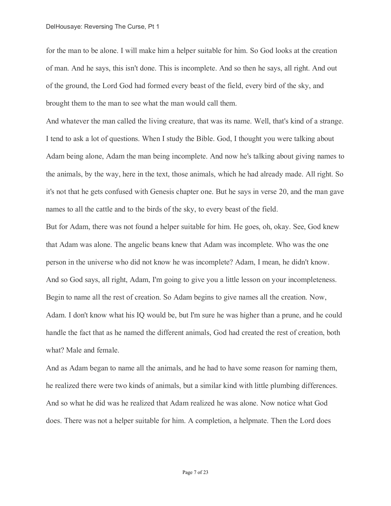for the man to be alone. I will make him a helper suitable for him. So God looks at the creation of man. And he says, this isn't done. This is incomplete. And so then he says, all right. And out of the ground, the Lord God had formed every beast of the field, every bird of the sky, and brought them to the man to see what the man would call them.

And whatever the man called the living creature, that was its name. Well, that's kind of a strange. I tend to ask a lot of questions. When I study the Bible. God, I thought you were talking about Adam being alone, Adam the man being incomplete. And now he's talking about giving names to the animals, by the way, here in the text, those animals, which he had already made. All right. So it's not that he gets confused with Genesis chapter one. But he says in verse 20, and the man gave names to all the cattle and to the birds of the sky, to every beast of the field.

But for Adam, there was not found a helper suitable for him. He goes, oh, okay. See, God knew that Adam was alone. The angelic beans knew that Adam was incomplete. Who was the one person in the universe who did not know he was incomplete? Adam, I mean, he didn't know. And so God says, all right, Adam, I'm going to give you a little lesson on your incompleteness. Begin to name all the rest of creation. So Adam begins to give names all the creation. Now, Adam. I don't know what his IQ would be, but I'm sure he was higher than a prune, and he could handle the fact that as he named the different animals, God had created the rest of creation, both what? Male and female.

And as Adam began to name all the animals, and he had to have some reason for naming them, he realized there were two kinds of animals, but a similar kind with little plumbing differences. And so what he did was he realized that Adam realized he was alone. Now notice what God does. There was not a helper suitable for him. A completion, a helpmate. Then the Lord does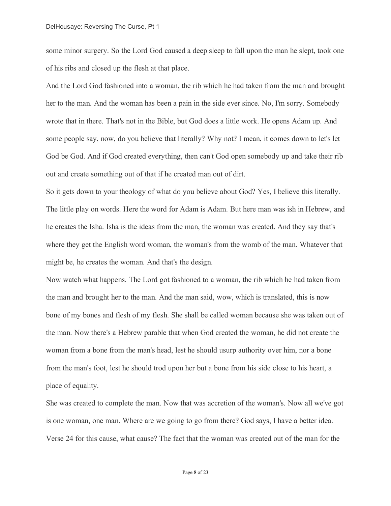some minor surgery. So the Lord God caused a deep sleep to fall upon the man he slept, took one of his ribs and closed up the flesh at that place.

And the Lord God fashioned into a woman, the rib which he had taken from the man and brought her to the man. And the woman has been a pain in the side ever since. No, I'm sorry. Somebody wrote that in there. That's not in the Bible, but God does a little work. He opens Adam up. And some people say, now, do you believe that literally? Why not? I mean, it comes down to let's let God be God. And if God created everything, then can't God open somebody up and take their rib out and create something out of that if he created man out of dirt.

So it gets down to your theology of what do you believe about God? Yes, I believe this literally. The little play on words. Here the word for Adam is Adam. But here man was ish in Hebrew, and he creates the Isha. Isha is the ideas from the man, the woman was created. And they say that's where they get the English word woman, the woman's from the womb of the man. Whatever that might be, he creates the woman. And that's the design.

Now watch what happens. The Lord got fashioned to a woman, the rib which he had taken from the man and brought her to the man. And the man said, wow, which is translated, this is now bone of my bones and flesh of my flesh. She shall be called woman because she was taken out of the man. Now there's a Hebrew parable that when God created the woman, he did not create the woman from a bone from the man's head, lest he should usurp authority over him, nor a bone from the man's foot, lest he should trod upon her but a bone from his side close to his heart, a place of equality.

She was created to complete the man. Now that was accretion of the woman's. Now all we've got is one woman, one man. Where are we going to go from there? God says, I have a better idea. Verse 24 for this cause, what cause? The fact that the woman was created out of the man for the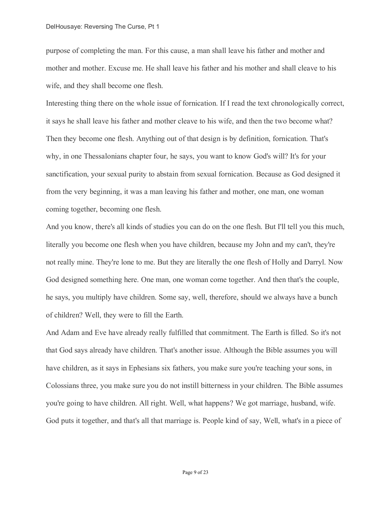purpose of completing the man. For this cause, a man shall leave his father and mother and mother and mother. Excuse me. He shall leave his father and his mother and shall cleave to his wife, and they shall become one flesh.

Interesting thing there on the whole issue of fornication. If I read the text chronologically correct, it says he shall leave his father and mother cleave to his wife, and then the two become what? Then they become one flesh. Anything out of that design is by definition, fornication. That's why, in one Thessalonians chapter four, he says, you want to know God's will? It's for your sanctification, your sexual purity to abstain from sexual fornication. Because as God designed it from the very beginning, it was a man leaving his father and mother, one man, one woman coming together, becoming one flesh.

And you know, there's all kinds of studies you can do on the one flesh. But I'll tell you this much, literally you become one flesh when you have children, because my John and my can't, they're not really mine. They're lone to me. But they are literally the one flesh of Holly and Darryl. Now God designed something here. One man, one woman come together. And then that's the couple, he says, you multiply have children. Some say, well, therefore, should we always have a bunch of children? Well, they were to fill the Earth.

And Adam and Eve have already really fulfilled that commitment. The Earth is filled. So it's not that God says already have children. That's another issue. Although the Bible assumes you will have children, as it says in Ephesians six fathers, you make sure you're teaching your sons, in Colossians three, you make sure you do not instill bitterness in your children. The Bible assumes you're going to have children. All right. Well, what happens? We got marriage, husband, wife. God puts it together, and that's all that marriage is. People kind of say, Well, what's in a piece of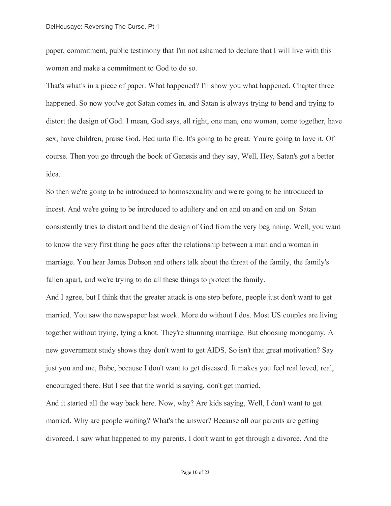paper, commitment, public testimony that I'm not ashamed to declare that I will live with this woman and make a commitment to God to do so.

That's what's in a piece of paper. What happened? I'll show you what happened. Chapter three happened. So now you've got Satan comes in, and Satan is always trying to bend and trying to distort the design of God. I mean, God says, all right, one man, one woman, come together, have sex, have children, praise God. Bed unto file. It's going to be great. You're going to love it. Of course. Then you go through the book of Genesis and they say, Well, Hey, Satan's got a better idea.

So then we're going to be introduced to homosexuality and we're going to be introduced to incest. And we're going to be introduced to adultery and on and on and on and on. Satan consistently tries to distort and bend the design of God from the very beginning. Well, you want to know the very first thing he goes after the relationship between a man and a woman in marriage. You hear James Dobson and others talk about the threat of the family, the family's fallen apart, and we're trying to do all these things to protect the family.

And I agree, but I think that the greater attack is one step before, people just don't want to get married. You saw the newspaper last week. More do without I dos. Most US couples are living together without trying, tying a knot. They're shunning marriage. But choosing monogamy. A new government study shows they don't want to get AIDS. So isn't that great motivation? Say just you and me, Babe, because I don't want to get diseased. It makes you feel real loved, real, encouraged there. But I see that the world is saying, don't get married.

And it started all the way back here. Now, why? Are kids saying, Well, I don't want to get married. Why are people waiting? What's the answer? Because all our parents are getting divorced. I saw what happened to my parents. I don't want to get through a divorce. And the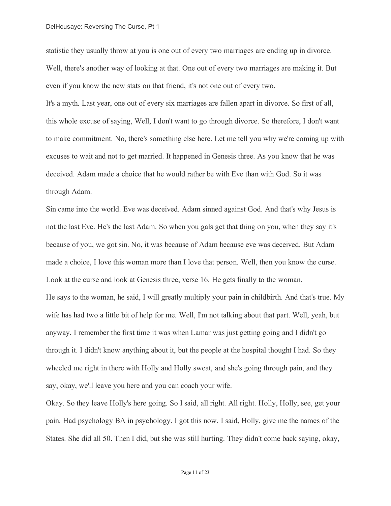statistic they usually throw at you is one out of every two marriages are ending up in divorce. Well, there's another way of looking at that. One out of every two marriages are making it. But even if you know the new stats on that friend, it's not one out of every two.

It's a myth. Last year, one out of every six marriages are fallen apart in divorce. So first of all, this whole excuse of saying, Well, I don't want to go through divorce. So therefore, I don't want to make commitment. No, there's something else here. Let me tell you why we're coming up with excuses to wait and not to get married. It happened in Genesis three. As you know that he was deceived. Adam made a choice that he would rather be with Eve than with God. So it was through Adam.

Sin came into the world. Eve was deceived. Adam sinned against God. And that's why Jesus is not the last Eve. He's the last Adam. So when you gals get that thing on you, when they say it's because of you, we got sin. No, it was because of Adam because eve was deceived. But Adam made a choice, I love this woman more than I love that person. Well, then you know the curse. Look at the curse and look at Genesis three, verse 16. He gets finally to the woman. He says to the woman, he said, I will greatly multiply your pain in childbirth. And that's true. My wife has had two a little bit of help for me. Well, I'm not talking about that part. Well, yeah, but anyway, I remember the first time it was when Lamar was just getting going and I didn't go through it. I didn't know anything about it, but the people at the hospital thought I had. So they wheeled me right in there with Holly and Holly sweat, and she's going through pain, and they say, okay, we'll leave you here and you can coach your wife.

Okay. So they leave Holly's here going. So I said, all right. All right. Holly, Holly, see, get your pain. Had psychology BA in psychology. I got this now. I said, Holly, give me the names of the States. She did all 50. Then I did, but she was still hurting. They didn't come back saying, okay,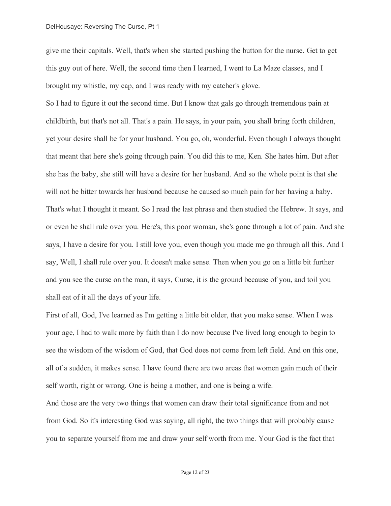### DelHousaye: Reversing The Curse, Pt 1

give me their capitals. Well, that's when she started pushing the button for the nurse. Get to get this guy out of here. Well, the second time then I learned, I went to La Maze classes, and I brought my whistle, my cap, and I was ready with my catcher's glove.

So I had to figure it out the second time. But I know that gals go through tremendous pain at childbirth, but that's not all. That's a pain. He says, in your pain, you shall bring forth children, yet your desire shall be for your husband. You go, oh, wonderful. Even though I always thought that meant that here she's going through pain. You did this to me, Ken. She hates him. But after she has the baby, she still will have a desire for her husband. And so the whole point is that she will not be bitter towards her husband because he caused so much pain for her having a baby. That's what I thought it meant. So I read the last phrase and then studied the Hebrew. It says, and or even he shall rule over you. Here's, this poor woman, she's gone through a lot of pain. And she says, I have a desire for you. I still love you, even though you made me go through all this. And I say, Well, I shall rule over you. It doesn't make sense. Then when you go on a little bit further and you see the curse on the man, it says, Curse, it is the ground because of you, and toil you shall eat of it all the days of your life.

First of all, God, I've learned as I'm getting a little bit older, that you make sense. When I was your age, I had to walk more by faith than I do now because I've lived long enough to begin to see the wisdom of the wisdom of God, that God does not come from left field. And on this one, all of a sudden, it makes sense. I have found there are two areas that women gain much of their self worth, right or wrong. One is being a mother, and one is being a wife.

And those are the very two things that women can draw their total significance from and not from God. So it's interesting God was saying, all right, the two things that will probably cause you to separate yourself from me and draw your self worth from me. Your God is the fact that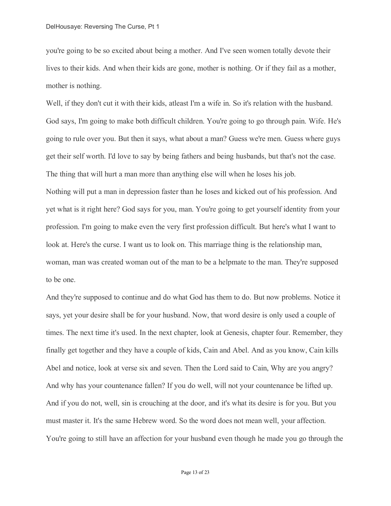you're going to be so excited about being a mother. And I've seen women totally devote their lives to their kids. And when their kids are gone, mother is nothing. Or if they fail as a mother, mother is nothing.

Well, if they don't cut it with their kids, atleast I'm a wife in. So it's relation with the husband. God says, I'm going to make both difficult children. You're going to go through pain. Wife. He's going to rule over you. But then it says, what about a man? Guess we're men. Guess where guys get their self worth. I'd love to say by being fathers and being husbands, but that's not the case. The thing that will hurt a man more than anything else will when he loses his job.

Nothing will put a man in depression faster than he loses and kicked out of his profession. And yet what is it right here? God says for you, man. You're going to get yourself identity from your profession. I'm going to make even the very first profession difficult. But here's what I want to look at. Here's the curse. I want us to look on. This marriage thing is the relationship man, woman, man was created woman out of the man to be a helpmate to the man. They're supposed to be one.

And they're supposed to continue and do what God has them to do. But now problems. Notice it says, yet your desire shall be for your husband. Now, that word desire is only used a couple of times. The next time it's used. In the next chapter, look at Genesis, chapter four. Remember, they finally get together and they have a couple of kids, Cain and Abel. And as you know, Cain kills Abel and notice, look at verse six and seven. Then the Lord said to Cain, Why are you angry? And why has your countenance fallen? If you do well, will not your countenance be lifted up. And if you do not, well, sin is crouching at the door, and it's what its desire is for you. But you must master it. It's the same Hebrew word. So the word does not mean well, your affection. You're going to still have an affection for your husband even though he made you go through the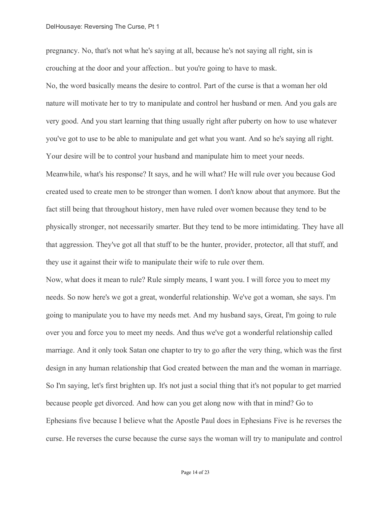pregnancy. No, that's not what he's saying at all, because he's not saying all right, sin is crouching at the door and your affection.. but you're going to have to mask.

No, the word basically means the desire to control. Part of the curse is that a woman her old nature will motivate her to try to manipulate and control her husband or men. And you gals are very good. And you start learning that thing usually right after puberty on how to use whatever you've got to use to be able to manipulate and get what you want. And so he's saying all right. Your desire will be to control your husband and manipulate him to meet your needs. Meanwhile, what's his response? It says, and he will what? He will rule over you because God created used to create men to be stronger than women. I don't know about that anymore. But the fact still being that throughout history, men have ruled over women because they tend to be physically stronger, not necessarily smarter. But they tend to be more intimidating. They have all that aggression. They've got all that stuff to be the hunter, provider, protector, all that stuff, and they use it against their wife to manipulate their wife to rule over them.

Now, what does it mean to rule? Rule simply means, I want you. I will force you to meet my needs. So now here's we got a great, wonderful relationship. We've got a woman, she says. I'm going to manipulate you to have my needs met. And my husband says, Great, I'm going to rule over you and force you to meet my needs. And thus we've got a wonderful relationship called marriage. And it only took Satan one chapter to try to go after the very thing, which was the first design in any human relationship that God created between the man and the woman in marriage. So I'm saying, let's first brighten up. It's not just a social thing that it's not popular to get married because people get divorced. And how can you get along now with that in mind? Go to Ephesians five because I believe what the Apostle Paul does in Ephesians Five is he reverses the curse. He reverses the curse because the curse says the woman will try to manipulate and control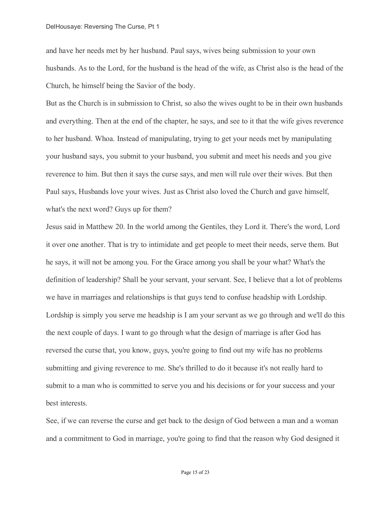and have her needs met by her husband. Paul says, wives being submission to your own husbands. As to the Lord, for the husband is the head of the wife, as Christ also is the head of the Church, he himself being the Savior of the body.

But as the Church is in submission to Christ, so also the wives ought to be in their own husbands and everything. Then at the end of the chapter, he says, and see to it that the wife gives reverence to her husband. Whoa. Instead of manipulating, trying to get your needs met by manipulating your husband says, you submit to your husband, you submit and meet his needs and you give reverence to him. But then it says the curse says, and men will rule over their wives. But then Paul says, Husbands love your wives. Just as Christ also loved the Church and gave himself, what's the next word? Guys up for them?

Jesus said in Matthew 20. In the world among the Gentiles, they Lord it. There's the word, Lord it over one another. That is try to intimidate and get people to meet their needs, serve them. But he says, it will not be among you. For the Grace among you shall be your what? What's the definition of leadership? Shall be your servant, your servant. See, I believe that a lot of problems we have in marriages and relationships is that guys tend to confuse headship with Lordship. Lordship is simply you serve me headship is I am your servant as we go through and we'll do this the next couple of days. I want to go through what the design of marriage is after God has reversed the curse that, you know, guys, you're going to find out my wife has no problems submitting and giving reverence to me. She's thrilled to do it because it's not really hard to submit to a man who is committed to serve you and his decisions or for your success and your best interests.

See, if we can reverse the curse and get back to the design of God between a man and a woman and a commitment to God in marriage, you're going to find that the reason why God designed it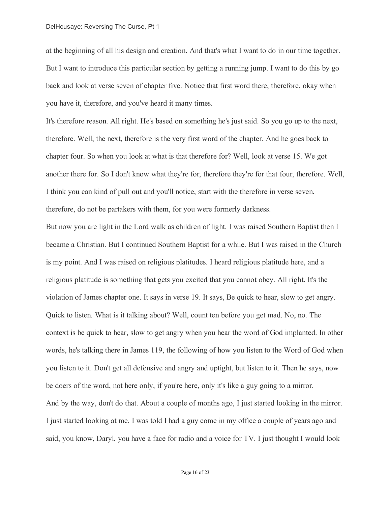at the beginning of all his design and creation. And that's what I want to do in our time together. But I want to introduce this particular section by getting a running jump. I want to do this by go back and look at verse seven of chapter five. Notice that first word there, therefore, okay when you have it, therefore, and you've heard it many times.

It's therefore reason. All right. He's based on something he's just said. So you go up to the next, therefore. Well, the next, therefore is the very first word of the chapter. And he goes back to chapter four. So when you look at what is that therefore for? Well, look at verse 15. We got another there for. So I don't know what they're for, therefore they're for that four, therefore. Well, I think you can kind of pull out and you'll notice, start with the therefore in verse seven, therefore, do not be partakers with them, for you were formerly darkness.

But now you are light in the Lord walk as children of light. I was raised Southern Baptist then I became a Christian. But I continued Southern Baptist for a while. But I was raised in the Church is my point. And I was raised on religious platitudes. I heard religious platitude here, and a religious platitude is something that gets you excited that you cannot obey. All right. It's the violation of James chapter one. It says in verse 19. It says, Be quick to hear, slow to get angry. Quick to listen. What is it talking about? Well, count ten before you get mad. No, no. The context is be quick to hear, slow to get angry when you hear the word of God implanted. In other words, he's talking there in James 119, the following of how you listen to the Word of God when you listen to it. Don't get all defensive and angry and uptight, but listen to it. Then he says, now be doers of the word, not here only, if you're here, only it's like a guy going to a mirror. And by the way, don't do that. About a couple of months ago, I just started looking in the mirror. I just started looking at me. I was told I had a guy come in my office a couple of years ago and said, you know, Daryl, you have a face for radio and a voice for TV. I just thought I would look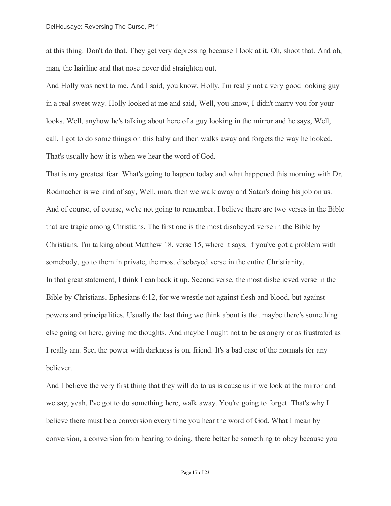at this thing. Don't do that. They get very depressing because I look at it. Oh, shoot that. And oh, man, the hairline and that nose never did straighten out.

And Holly was next to me. And I said, you know, Holly, I'm really not a very good looking guy in a real sweet way. Holly looked at me and said, Well, you know, I didn't marry you for your looks. Well, anyhow he's talking about here of a guy looking in the mirror and he says, Well, call, I got to do some things on this baby and then walks away and forgets the way he looked. That's usually how it is when we hear the word of God.

That is my greatest fear. What's going to happen today and what happened this morning with Dr. Rodmacher is we kind of say, Well, man, then we walk away and Satan's doing his job on us. And of course, of course, we're not going to remember. I believe there are two verses in the Bible that are tragic among Christians. The first one is the most disobeyed verse in the Bible by Christians. I'm talking about Matthew 18, verse 15, where it says, if you've got a problem with somebody, go to them in private, the most disobeyed verse in the entire Christianity. In that great statement, I think I can back it up. Second verse, the most disbelieved verse in the Bible by Christians, Ephesians 6:12, for we wrestle not against flesh and blood, but against powers and principalities. Usually the last thing we think about is that maybe there's something else going on here, giving me thoughts. And maybe I ought not to be as angry or as frustrated as I really am. See, the power with darkness is on, friend. It's a bad case of the normals for any believer.

And I believe the very first thing that they will do to us is cause us if we look at the mirror and we say, yeah, I've got to do something here, walk away. You're going to forget. That's why I believe there must be a conversion every time you hear the word of God. What I mean by conversion, a conversion from hearing to doing, there better be something to obey because you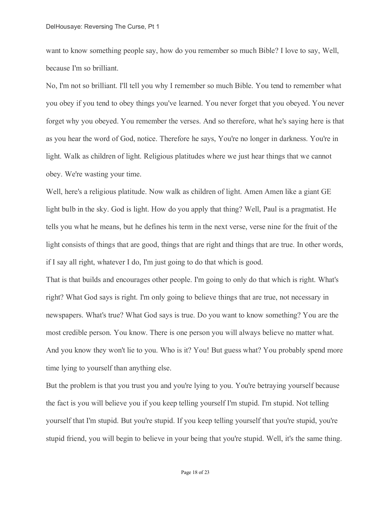want to know something people say, how do you remember so much Bible? I love to say, Well, because I'm so brilliant.

No, I'm not so brilliant. I'll tell you why I remember so much Bible. You tend to remember what you obey if you tend to obey things you've learned. You never forget that you obeyed. You never forget why you obeyed. You remember the verses. And so therefore, what he's saying here is that as you hear the word of God, notice. Therefore he says, You're no longer in darkness. You're in light. Walk as children of light. Religious platitudes where we just hear things that we cannot obey. We're wasting your time.

Well, here's a religious platitude. Now walk as children of light. Amen Amen like a giant GE light bulb in the sky. God is light. How do you apply that thing? Well, Paul is a pragmatist. He tells you what he means, but he defines his term in the next verse, verse nine for the fruit of the light consists of things that are good, things that are right and things that are true. In other words, if I say all right, whatever I do, I'm just going to do that which is good.

That is that builds and encourages other people. I'm going to only do that which is right. What's right? What God says is right. I'm only going to believe things that are true, not necessary in newspapers. What's true? What God says is true. Do you want to know something? You are the most credible person. You know. There is one person you will always believe no matter what. And you know they won't lie to you. Who is it? You! But guess what? You probably spend more time lying to yourself than anything else.

But the problem is that you trust you and you're lying to you. You're betraying yourself because the fact is you will believe you if you keep telling yourself I'm stupid. I'm stupid. Not telling yourself that I'm stupid. But you're stupid. If you keep telling yourself that you're stupid, you're stupid friend, you will begin to believe in your being that you're stupid. Well, it's the same thing.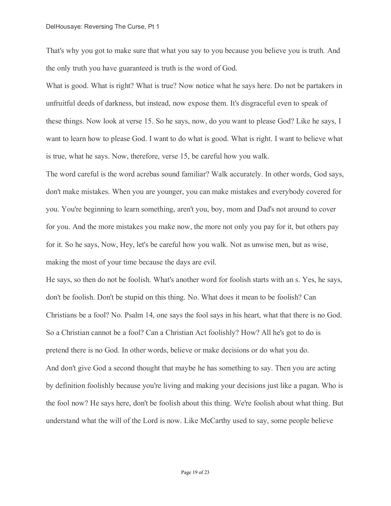That's why you got to make sure that what you say to you because you believe you is truth. And the only truth you have guaranteed is truth is the word of God.

What is good. What is right? What is true? Now notice what he says here. Do not be partakers in unfruitful deeds of darkness, but instead, now expose them. It's disgraceful even to speak of these things. Now look at verse 15. So he says, now, do you want to please God? Like he says, I want to learn how to please God. I want to do what is good. What is right. I want to believe what is true, what he says. Now, therefore, verse 15, be careful how you walk.

The word careful is the word acrebas sound familiar? Walk accurately. In other words, God says, don't make mistakes. When you are younger, you can make mistakes and everybody covered for you. You're beginning to learn something, aren't you, boy, mom and Dad's not around to cover for you. And the more mistakes you make now, the more not only you pay for it, but others pay for it. So he says, Now, Hey, let's be careful how you walk. Not as unwise men, but as wise, making the most of your time because the days are evil.

He says, so then do not be foolish. What's another word for foolish starts with an s. Yes, he says, don't be foolish. Don't be stupid on this thing. No. What does it mean to be foolish? Can Christians be a fool? No. Psalm 14, one says the fool says in his heart, what that there is no God. So a Christian cannot be a fool? Can a Christian Act foolishly? How? All he's got to do is pretend there is no God. In other words, believe or make decisions or do what you do. And don't give God a second thought that maybe he has something to say. Then you are acting by definition foolishly because you're living and making your decisions just like a pagan. Who is the fool now? He says here, don't be foolish about this thing. We're foolish about what thing. But understand what the will of the Lord is now. Like McCarthy used to say, some people believe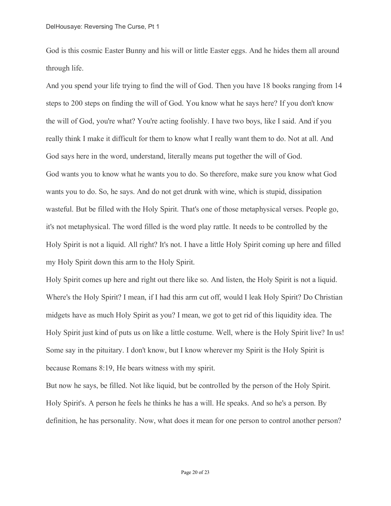God is this cosmic Easter Bunny and his will or little Easter eggs. And he hides them all around through life.

And you spend your life trying to find the will of God. Then you have 18 books ranging from 14 steps to 200 steps on finding the will of God. You know what he says here? If you don't know the will of God, you're what? You're acting foolishly. I have two boys, like I said. And if you really think I make it difficult for them to know what I really want them to do. Not at all. And God says here in the word, understand, literally means put together the will of God. God wants you to know what he wants you to do. So therefore, make sure you know what God wants you to do. So, he says. And do not get drunk with wine, which is stupid, dissipation wasteful. But be filled with the Holy Spirit. That's one of those metaphysical verses. People go, it's not metaphysical. The word filled is the word play rattle. It needs to be controlled by the Holy Spirit is not a liquid. All right? It's not. I have a little Holy Spirit coming up here and filled my Holy Spirit down this arm to the Holy Spirit.

Holy Spirit comes up here and right out there like so. And listen, the Holy Spirit is not a liquid. Where's the Holy Spirit? I mean, if I had this arm cut off, would I leak Holy Spirit? Do Christian midgets have as much Holy Spirit as you? I mean, we got to get rid of this liquidity idea. The Holy Spirit just kind of puts us on like a little costume. Well, where is the Holy Spirit live? In us! Some say in the pituitary. I don't know, but I know wherever my Spirit is the Holy Spirit is because Romans 8:19, He bears witness with my spirit.

But now he says, be filled. Not like liquid, but be controlled by the person of the Holy Spirit. Holy Spirit's. A person he feels he thinks he has a will. He speaks. And so he's a person. By definition, he has personality. Now, what does it mean for one person to control another person?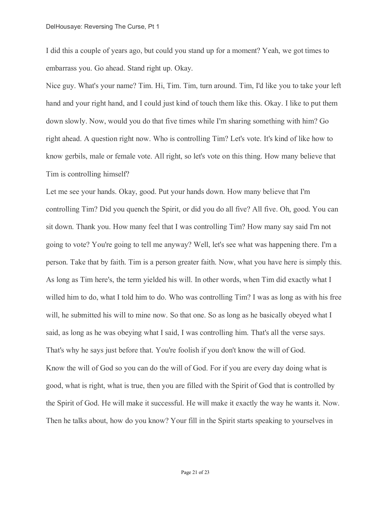I did this a couple of years ago, but could you stand up for a moment? Yeah, we got times to embarrass you. Go ahead. Stand right up. Okay.

Nice guy. What's your name? Tim. Hi, Tim. Tim, turn around. Tim, I'd like you to take your left hand and your right hand, and I could just kind of touch them like this. Okay. I like to put them down slowly. Now, would you do that five times while I'm sharing something with him? Go right ahead. A question right now. Who is controlling Tim? Let's vote. It's kind of like how to know gerbils, male or female vote. All right, so let's vote on this thing. How many believe that Tim is controlling himself?

Let me see your hands. Okay, good. Put your hands down. How many believe that I'm controlling Tim? Did you quench the Spirit, or did you do all five? All five. Oh, good. You can sit down. Thank you. How many feel that I was controlling Tim? How many say said I'm not going to vote? You're going to tell me anyway? Well, let's see what was happening there. I'm a person. Take that by faith. Tim is a person greater faith. Now, what you have here is simply this. As long as Tim here's, the term yielded his will. In other words, when Tim did exactly what I willed him to do, what I told him to do. Who was controlling Tim? I was as long as with his free will, he submitted his will to mine now. So that one. So as long as he basically obeyed what I said, as long as he was obeying what I said, I was controlling him. That's all the verse says. That's why he says just before that. You're foolish if you don't know the will of God. Know the will of God so you can do the will of God. For if you are every day doing what is good, what is right, what is true, then you are filled with the Spirit of God that is controlled by the Spirit of God. He will make it successful. He will make it exactly the way he wants it. Now. Then he talks about, how do you know? Your fill in the Spirit starts speaking to yourselves in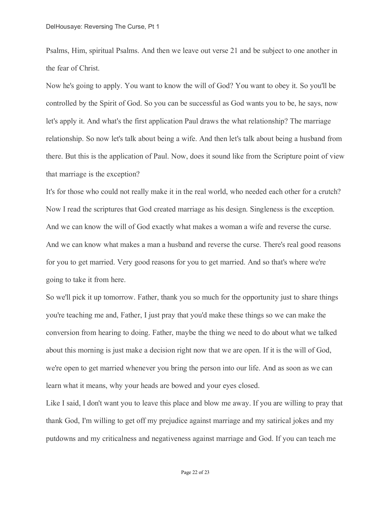Psalms, Him, spiritual Psalms. And then we leave out verse 21 and be subject to one another in the fear of Christ.

Now he's going to apply. You want to know the will of God? You want to obey it. So you'll be controlled by the Spirit of God. So you can be successful as God wants you to be, he says, now let's apply it. And what's the first application Paul draws the what relationship? The marriage relationship. So now let's talk about being a wife. And then let's talk about being a husband from there. But this is the application of Paul. Now, does it sound like from the Scripture point of view that marriage is the exception?

It's for those who could not really make it in the real world, who needed each other for a crutch? Now I read the scriptures that God created marriage as his design. Singleness is the exception. And we can know the will of God exactly what makes a woman a wife and reverse the curse. And we can know what makes a man a husband and reverse the curse. There's real good reasons for you to get married. Very good reasons for you to get married. And so that's where we're going to take it from here.

So we'll pick it up tomorrow. Father, thank you so much for the opportunity just to share things you're teaching me and, Father, I just pray that you'd make these things so we can make the conversion from hearing to doing. Father, maybe the thing we need to do about what we talked about this morning is just make a decision right now that we are open. If it is the will of God, we're open to get married whenever you bring the person into our life. And as soon as we can learn what it means, why your heads are bowed and your eyes closed.

Like I said, I don't want you to leave this place and blow me away. If you are willing to pray that thank God, I'm willing to get off my prejudice against marriage and my satirical jokes and my putdowns and my criticalness and negativeness against marriage and God. If you can teach me